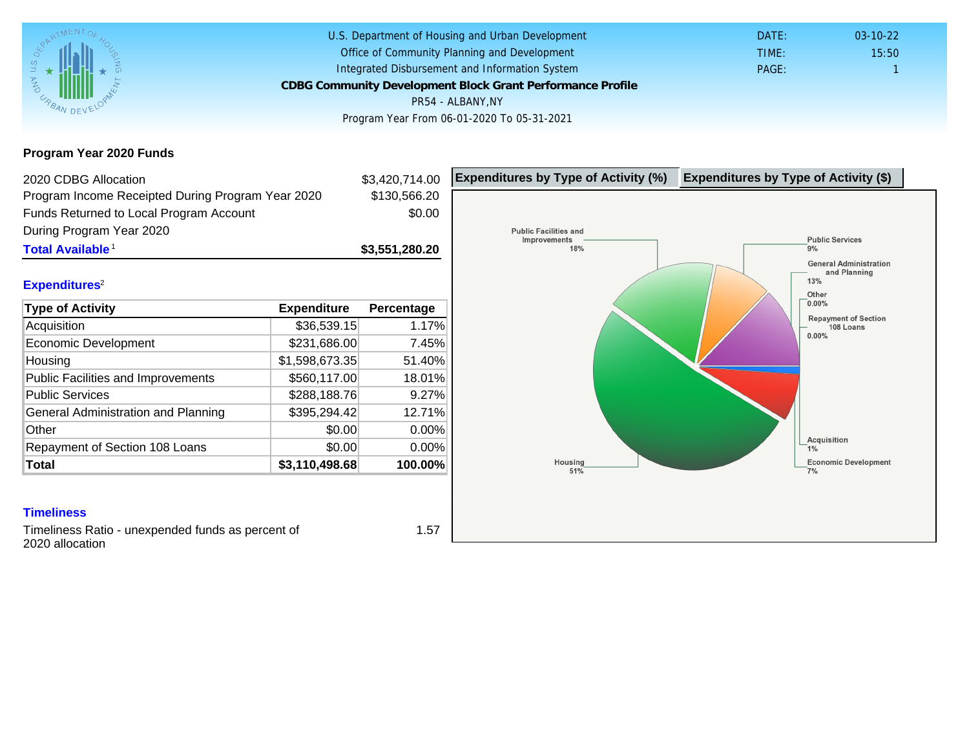Program Year 2020 Funds

| 2020 CDBG Allocation                              |                | \$3,420,714.00 | Expenditures by Type of Activity (%) | Expenditure |
|---------------------------------------------------|----------------|----------------|--------------------------------------|-------------|
| Program Income Receipted During Program Year 2020 |                | \$130,566.20   |                                      |             |
| Funds Returned to Local Program Account           |                | \$0.00         |                                      |             |
| During Program Year 2020                          |                |                |                                      |             |
| Total Available                                   |                | \$3,551,280.20 |                                      |             |
| Expenditures <sup>2</sup>                         |                |                |                                      |             |
| Type of Activity                                  | Expenditure    | Percentage     |                                      |             |
| Acquisition                                       | \$36,539.15    | 1.17%          |                                      |             |
| Economic Development                              | \$231,686.00   | 7.45%          |                                      |             |
| Housing                                           | \$1,598,673.35 | 51.40%         |                                      |             |
| <b>Public Facilities and Improvements</b>         | \$560,117.00   | 18.01%         |                                      |             |
| <b>Public Services</b>                            | \$288,188.76   | 9.27%          |                                      |             |
| General Administration and Planning               | \$395,294.42   | 12.71%         |                                      |             |
| Other                                             | \$0.00         | 0.00%          |                                      |             |
| Repayment of Section 108 Loans                    | \$0.00         | 0.00%          |                                      |             |
| Total                                             | \$3,110,498.68 | 100.00%        |                                      |             |

### **Timeliness**

Timeliness Ratio - unexpended funds as percent of 2020 allocation

1.57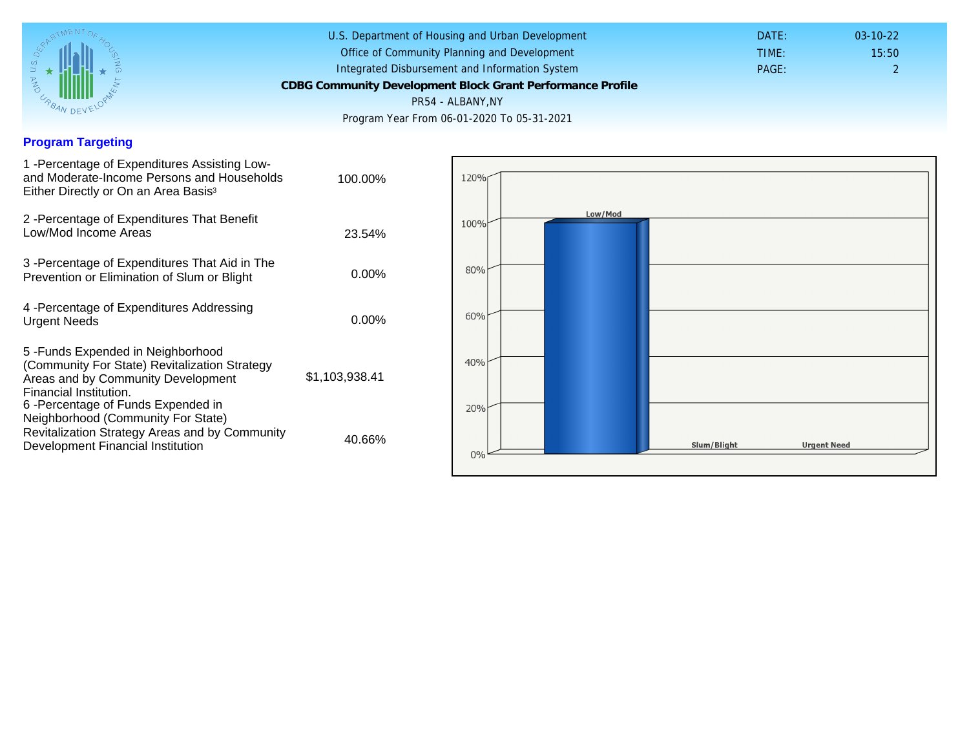## Program Targeting

| 1 - Percentage of Expenditures Assisting Low-<br>and Moderate-Income Persons and Households<br>Either Directly or On an Area Basis <sup>3</sup>                                          | 100.00%        |
|------------------------------------------------------------------------------------------------------------------------------------------------------------------------------------------|----------------|
| 2 - Percentage of Expenditures That Benefit<br>Low/Mod Income Areas                                                                                                                      | 23.54%         |
| 3 -Percentage of Expenditures That Aid in The<br>Prevention or Elimination of Slum or Blight                                                                                             | $0.00\%$       |
| 4 - Percentage of Expenditures Addressing<br><b>Urgent Needs</b>                                                                                                                         | $0.00\%$       |
| 5 - Funds Expended in Neighborhood<br>(Community For State) Revitalization Strategy<br>Areas and by Community Development<br>Financial Institution.<br>6-Percentage of Funds Expended in | \$1,103,938.41 |
| Neighborhood (Community For State)<br>Revitalization Strategy Areas and by Community<br>Development Financial Institution                                                                | 40.66%         |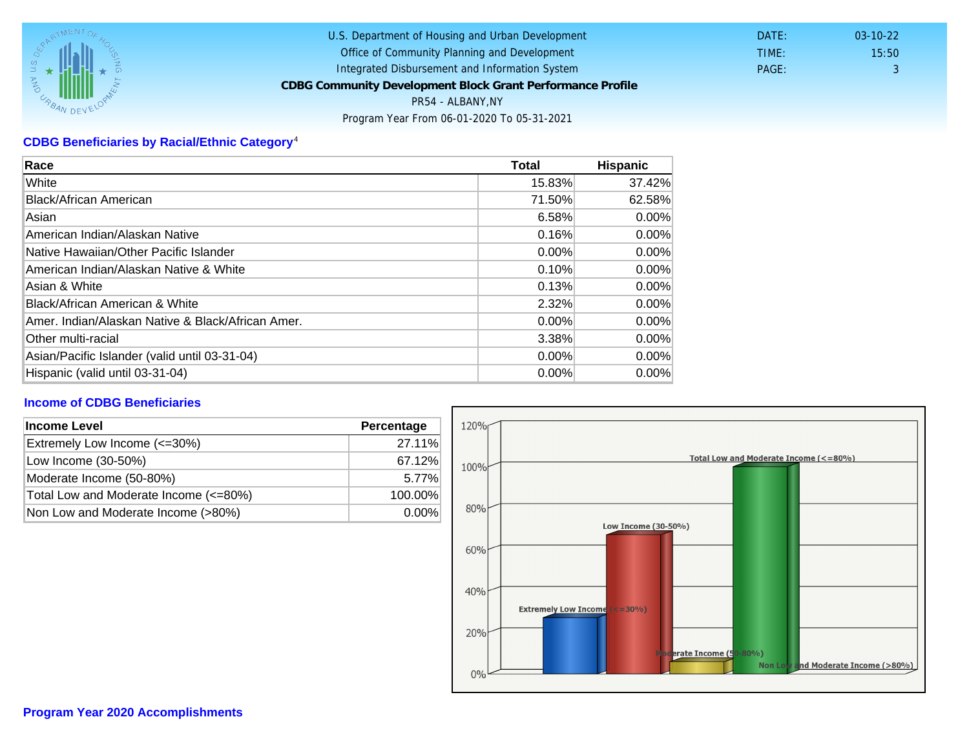# CDBG Beneficiaries by Racial/Ethnic Category <sup>4</sup>

| Race                                              | Total    | Hispanic |
|---------------------------------------------------|----------|----------|
| White                                             | 15.83%   | 37.42%   |
| Black/African American                            | 71.50%   | 62.58%   |
| Asian                                             | 6.58%    | $0.00\%$ |
| American Indian/Alaskan Native                    | 0.16%    | $0.00\%$ |
| lNative Hawaiian/Other Pacific Islander           | $0.00\%$ | $0.00\%$ |
| American Indian/Alaskan Native & White            | 0.10%    | $0.00\%$ |
| Asian & White                                     | 0.13%    | 0.00%    |
| Black/African American & White                    | 2.32%    | $0.00\%$ |
| Amer. Indian/Alaskan Native & Black/African Amer. | $0.00\%$ | $0.00\%$ |
| Other multi-racial                                | 3.38%    | $0.00\%$ |
| Asian/Pacific Islander (valid until 03-31-04)     | $0.00\%$ | $0.00\%$ |
| Hispanic (valid until 03-31-04)                   | $0.00\%$ | 0.00%    |

## Income of CDBG Beneficiaries

| Income Level                          | Percentage |
|---------------------------------------|------------|
| Extremely Low Income (<=30%)          | 27.11%     |
| Low Income (30-50%)                   | 67.12%     |
| Moderate Income (50-80%)              | 5.77%      |
| Total Low and Moderate Income (<=80%) | 100.00%    |
| Non Low and Moderate Income (>80%)    | $0.00\%$   |